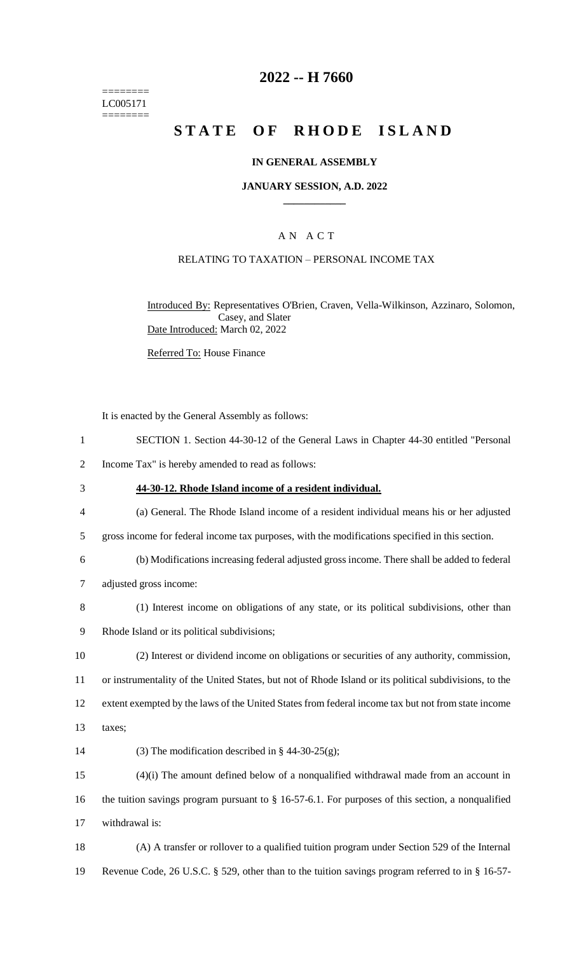======== LC005171 ========

## **2022 -- H 7660**

# **STATE OF RHODE ISLAND**

### **IN GENERAL ASSEMBLY**

#### **JANUARY SESSION, A.D. 2022 \_\_\_\_\_\_\_\_\_\_\_\_**

## A N A C T

## RELATING TO TAXATION – PERSONAL INCOME TAX

Introduced By: Representatives O'Brien, Craven, Vella-Wilkinson, Azzinaro, Solomon, Casey, and Slater Date Introduced: March 02, 2022

Referred To: House Finance

It is enacted by the General Assembly as follows:

- 1 SECTION 1. Section 44-30-12 of the General Laws in Chapter 44-30 entitled "Personal
- 2 Income Tax" is hereby amended to read as follows:
- 3 **44-30-12. Rhode Island income of a resident individual.**
- 4 (a) General. The Rhode Island income of a resident individual means his or her adjusted
- 5 gross income for federal income tax purposes, with the modifications specified in this section.
- 6 (b) Modifications increasing federal adjusted gross income. There shall be added to federal
- 7 adjusted gross income:
- 8 (1) Interest income on obligations of any state, or its political subdivisions, other than
- 9 Rhode Island or its political subdivisions;
- 10 (2) Interest or dividend income on obligations or securities of any authority, commission, 11 or instrumentality of the United States, but not of Rhode Island or its political subdivisions, to the
- 12 extent exempted by the laws of the United States from federal income tax but not from state income
- 13 taxes;
- 14 (3) The modification described in  $\S$  44-30-25(g);
- 15 (4)(i) The amount defined below of a nonqualified withdrawal made from an account in 16 the tuition savings program pursuant to § 16-57-6.1. For purposes of this section, a nonqualified 17 withdrawal is:
- 18 (A) A transfer or rollover to a qualified tuition program under Section 529 of the Internal 19 Revenue Code, 26 U.S.C. § 529, other than to the tuition savings program referred to in § 16-57-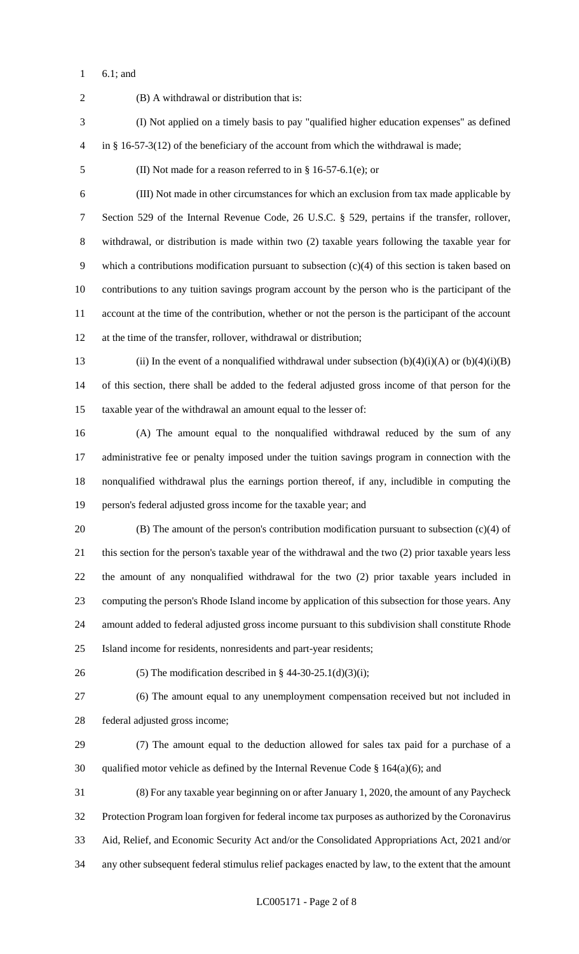6.1; and

 (B) A withdrawal or distribution that is: (I) Not applied on a timely basis to pay "qualified higher education expenses" as defined in § 16-57-3(12) of the beneficiary of the account from which the withdrawal is made; (II) Not made for a reason referred to in § 16-57-6.1(e); or (III) Not made in other circumstances for which an exclusion from tax made applicable by Section 529 of the Internal Revenue Code, 26 U.S.C. § 529, pertains if the transfer, rollover, withdrawal, or distribution is made within two (2) taxable years following the taxable year for which a contributions modification pursuant to subsection (c)(4) of this section is taken based on contributions to any tuition savings program account by the person who is the participant of the account at the time of the contribution, whether or not the person is the participant of the account at the time of the transfer, rollover, withdrawal or distribution; 13 (ii) In the event of a nonqualified withdrawal under subsection  $(b)(4)(i)(A)$  or  $(b)(4)(i)(B)$  of this section, there shall be added to the federal adjusted gross income of that person for the taxable year of the withdrawal an amount equal to the lesser of: (A) The amount equal to the nonqualified withdrawal reduced by the sum of any administrative fee or penalty imposed under the tuition savings program in connection with the nonqualified withdrawal plus the earnings portion thereof, if any, includible in computing the person's federal adjusted gross income for the taxable year; and (B) The amount of the person's contribution modification pursuant to subsection (c)(4) of this section for the person's taxable year of the withdrawal and the two (2) prior taxable years less the amount of any nonqualified withdrawal for the two (2) prior taxable years included in computing the person's Rhode Island income by application of this subsection for those years. Any amount added to federal adjusted gross income pursuant to this subdivision shall constitute Rhode Island income for residents, nonresidents and part-year residents; 26 (5) The modification described in  $\S$  44-30-25.1(d)(3)(i); (6) The amount equal to any unemployment compensation received but not included in federal adjusted gross income; (7) The amount equal to the deduction allowed for sales tax paid for a purchase of a 30 qualified motor vehicle as defined by the Internal Revenue Code  $\S$  164(a)(6); and (8) For any taxable year beginning on or after January 1, 2020, the amount of any Paycheck Protection Program loan forgiven for federal income tax purposes as authorized by the Coronavirus Aid, Relief, and Economic Security Act and/or the Consolidated Appropriations Act, 2021 and/or any other subsequent federal stimulus relief packages enacted by law, to the extent that the amount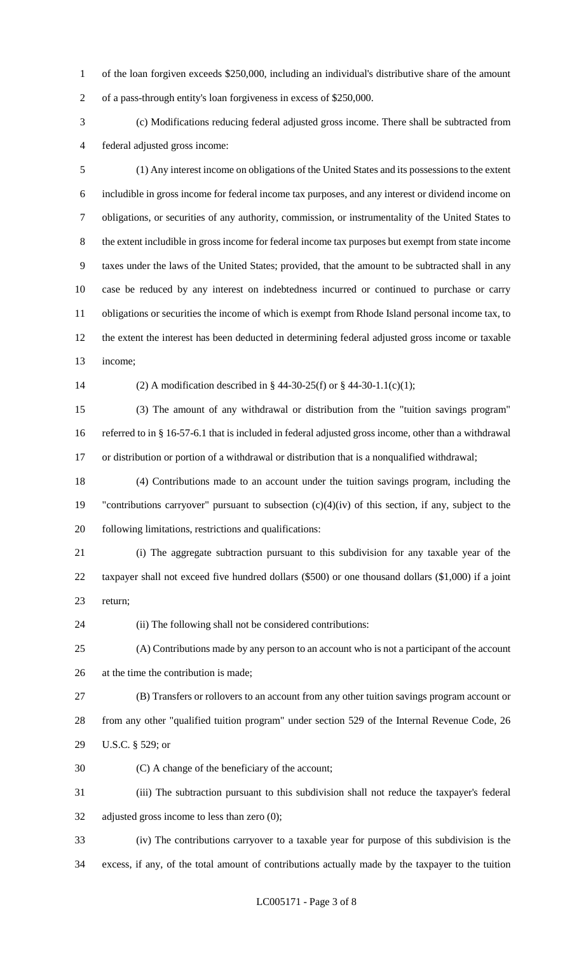of the loan forgiven exceeds \$250,000, including an individual's distributive share of the amount of a pass-through entity's loan forgiveness in excess of \$250,000.

 (c) Modifications reducing federal adjusted gross income. There shall be subtracted from federal adjusted gross income:

 (1) Any interest income on obligations of the United States and its possessions to the extent includible in gross income for federal income tax purposes, and any interest or dividend income on obligations, or securities of any authority, commission, or instrumentality of the United States to the extent includible in gross income for federal income tax purposes but exempt from state income taxes under the laws of the United States; provided, that the amount to be subtracted shall in any case be reduced by any interest on indebtedness incurred or continued to purchase or carry obligations or securities the income of which is exempt from Rhode Island personal income tax, to the extent the interest has been deducted in determining federal adjusted gross income or taxable income;

(2) A modification described in § 44-30-25(f) or § 44-30-1.1(c)(1);

 (3) The amount of any withdrawal or distribution from the "tuition savings program" referred to in § 16-57-6.1 that is included in federal adjusted gross income, other than a withdrawal or distribution or portion of a withdrawal or distribution that is a nonqualified withdrawal;

 (4) Contributions made to an account under the tuition savings program, including the "contributions carryover" pursuant to subsection (c)(4)(iv) of this section, if any, subject to the following limitations, restrictions and qualifications:

 (i) The aggregate subtraction pursuant to this subdivision for any taxable year of the taxpayer shall not exceed five hundred dollars (\$500) or one thousand dollars (\$1,000) if a joint return;

(ii) The following shall not be considered contributions:

 (A) Contributions made by any person to an account who is not a participant of the account at the time the contribution is made;

 (B) Transfers or rollovers to an account from any other tuition savings program account or from any other "qualified tuition program" under section 529 of the Internal Revenue Code, 26 U.S.C. § 529; or

(C) A change of the beneficiary of the account;

 (iii) The subtraction pursuant to this subdivision shall not reduce the taxpayer's federal adjusted gross income to less than zero (0);

 (iv) The contributions carryover to a taxable year for purpose of this subdivision is the excess, if any, of the total amount of contributions actually made by the taxpayer to the tuition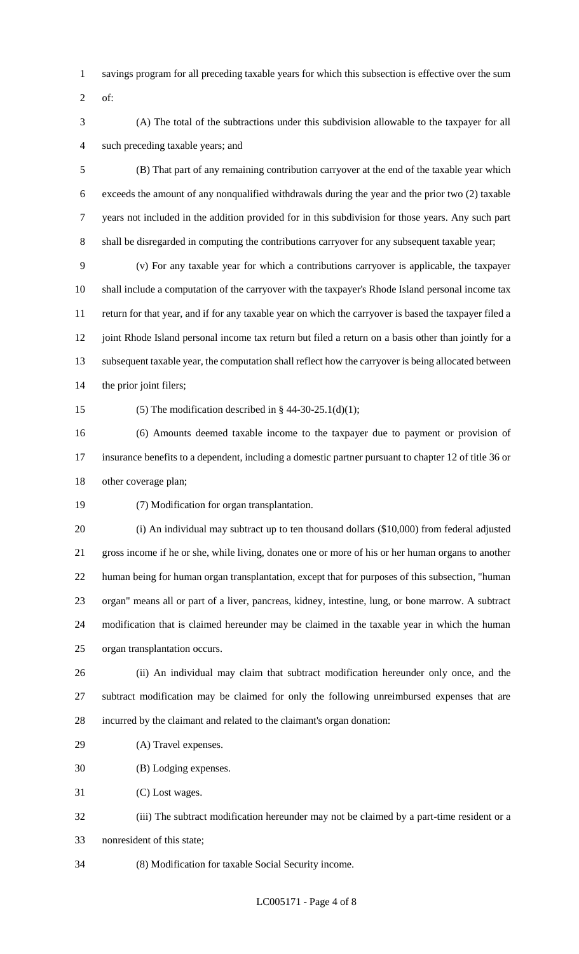- savings program for all preceding taxable years for which this subsection is effective over the sum
- of:
- (A) The total of the subtractions under this subdivision allowable to the taxpayer for all such preceding taxable years; and

 (B) That part of any remaining contribution carryover at the end of the taxable year which exceeds the amount of any nonqualified withdrawals during the year and the prior two (2) taxable years not included in the addition provided for in this subdivision for those years. Any such part shall be disregarded in computing the contributions carryover for any subsequent taxable year;

 (v) For any taxable year for which a contributions carryover is applicable, the taxpayer shall include a computation of the carryover with the taxpayer's Rhode Island personal income tax return for that year, and if for any taxable year on which the carryover is based the taxpayer filed a 12 joint Rhode Island personal income tax return but filed a return on a basis other than jointly for a subsequent taxable year, the computation shall reflect how the carryover is being allocated between the prior joint filers;

15 (5) The modification described in  $\S$  44-30-25.1(d)(1);

 (6) Amounts deemed taxable income to the taxpayer due to payment or provision of insurance benefits to a dependent, including a domestic partner pursuant to chapter 12 of title 36 or other coverage plan;

(7) Modification for organ transplantation.

 (i) An individual may subtract up to ten thousand dollars (\$10,000) from federal adjusted gross income if he or she, while living, donates one or more of his or her human organs to another human being for human organ transplantation, except that for purposes of this subsection, "human organ" means all or part of a liver, pancreas, kidney, intestine, lung, or bone marrow. A subtract modification that is claimed hereunder may be claimed in the taxable year in which the human organ transplantation occurs.

 (ii) An individual may claim that subtract modification hereunder only once, and the subtract modification may be claimed for only the following unreimbursed expenses that are incurred by the claimant and related to the claimant's organ donation:

(A) Travel expenses.

(B) Lodging expenses.

(C) Lost wages.

 (iii) The subtract modification hereunder may not be claimed by a part-time resident or a nonresident of this state;

(8) Modification for taxable Social Security income.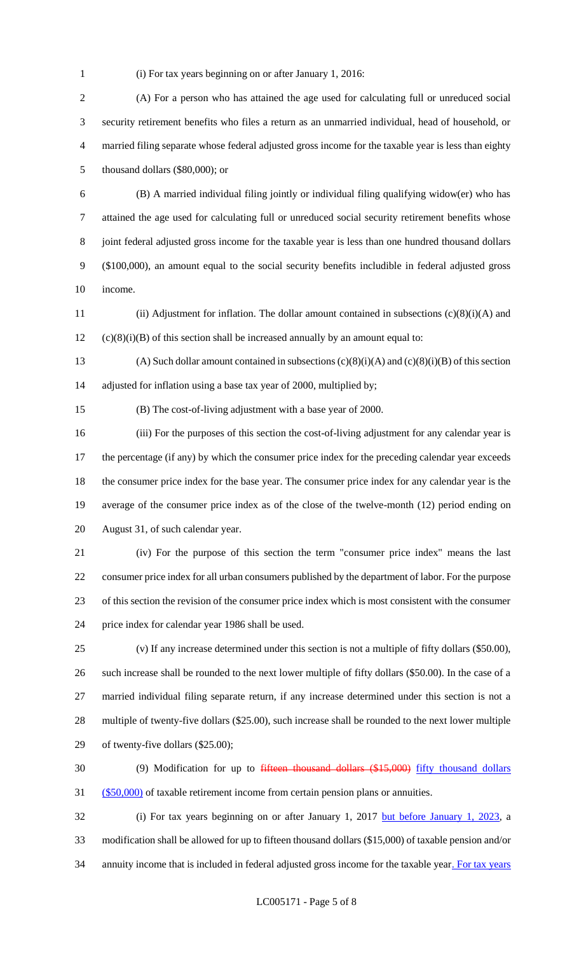(i) For tax years beginning on or after January 1, 2016:

 (A) For a person who has attained the age used for calculating full or unreduced social security retirement benefits who files a return as an unmarried individual, head of household, or married filing separate whose federal adjusted gross income for the taxable year is less than eighty thousand dollars (\$80,000); or

 (B) A married individual filing jointly or individual filing qualifying widow(er) who has attained the age used for calculating full or unreduced social security retirement benefits whose joint federal adjusted gross income for the taxable year is less than one hundred thousand dollars (\$100,000), an amount equal to the social security benefits includible in federal adjusted gross income.

 (ii) Adjustment for inflation. The dollar amount contained in subsections (c)(8)(i)(A) and (c)(8)(i)(B) of this section shall be increased annually by an amount equal to:

13 (A) Such dollar amount contained in subsections  $(c)(8)(i)(A)$  and  $(c)(8)(i)(B)$  of this section adjusted for inflation using a base tax year of 2000, multiplied by;

(B) The cost-of-living adjustment with a base year of 2000.

 (iii) For the purposes of this section the cost-of-living adjustment for any calendar year is 17 the percentage (if any) by which the consumer price index for the preceding calendar year exceeds the consumer price index for the base year. The consumer price index for any calendar year is the average of the consumer price index as of the close of the twelve-month (12) period ending on August 31, of such calendar year.

 (iv) For the purpose of this section the term "consumer price index" means the last consumer price index for all urban consumers published by the department of labor. For the purpose of this section the revision of the consumer price index which is most consistent with the consumer price index for calendar year 1986 shall be used.

 (v) If any increase determined under this section is not a multiple of fifty dollars (\$50.00), such increase shall be rounded to the next lower multiple of fifty dollars (\$50.00). In the case of a married individual filing separate return, if any increase determined under this section is not a multiple of twenty-five dollars (\$25.00), such increase shall be rounded to the next lower multiple of twenty-five dollars (\$25.00);

 (9) Modification for up to fifteen thousand dollars (\$15,000) fifty thousand dollars (\$50,000) of taxable retirement income from certain pension plans or annuities.

32 (i) For tax years beginning on or after January 1, 2017 but before January 1, 2023, a modification shall be allowed for up to fifteen thousand dollars (\$15,000) of taxable pension and/or 34 annuity income that is included in federal adjusted gross income for the taxable year. For tax years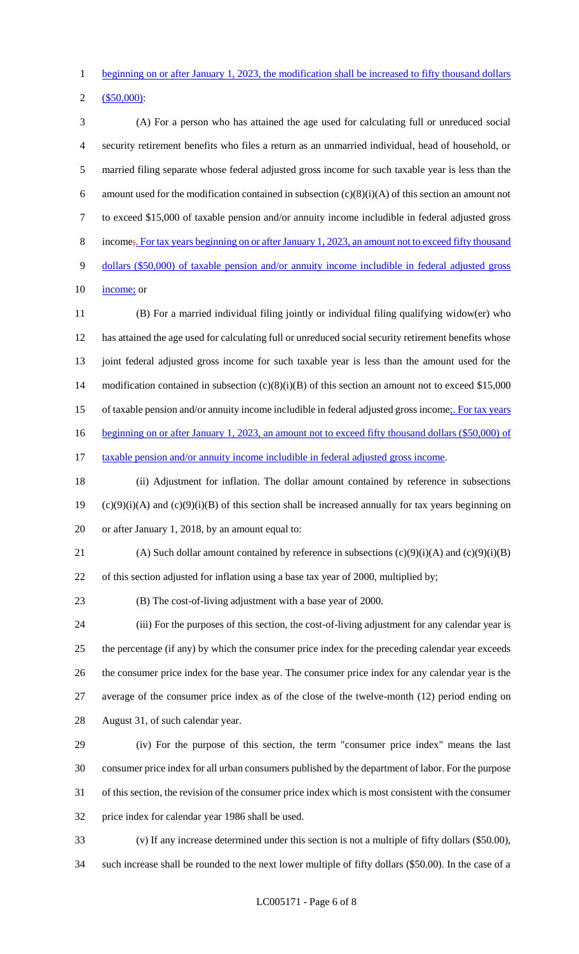beginning on or after January 1, 2023, the modification shall be increased to fifty thousand dollars

```
2 ($50,000):
```
 (A) For a person who has attained the age used for calculating full or unreduced social security retirement benefits who files a return as an unmarried individual, head of household, or married filing separate whose federal adjusted gross income for such taxable year is less than the 6 amount used for the modification contained in subsection  $(c)(8)(i)(A)$  of this section an amount not to exceed \$15,000 of taxable pension and/or annuity income includible in federal adjusted gross 8 income;. For tax years beginning on or after January 1, 2023, an amount not to exceed fifty thousand dollars (\$50,000) of taxable pension and/or annuity income includible in federal adjusted gross 10 income; or

 (B) For a married individual filing jointly or individual filing qualifying widow(er) who has attained the age used for calculating full or unreduced social security retirement benefits whose joint federal adjusted gross income for such taxable year is less than the amount used for the modification contained in subsection (c)(8)(i)(B) of this section an amount not to exceed \$15,000 15 of taxable pension and/or annuity income includible in federal adjusted gross income;. For tax years 16 beginning on or after January 1, 2023, an amount not to exceed fifty thousand dollars (\$50,000) of 17 taxable pension and/or annuity income includible in federal adjusted gross income.

 (ii) Adjustment for inflation. The dollar amount contained by reference in subsections 19 (c)(9)(i)(A) and (c)(9)(i)(B) of this section shall be increased annually for tax years beginning on or after January 1, 2018, by an amount equal to:

21 (A) Such dollar amount contained by reference in subsections  $(c)(9)(i)(A)$  and  $(c)(9)(i)(B)$ of this section adjusted for inflation using a base tax year of 2000, multiplied by;

(B) The cost-of-living adjustment with a base year of 2000.

 (iii) For the purposes of this section, the cost-of-living adjustment for any calendar year is the percentage (if any) by which the consumer price index for the preceding calendar year exceeds the consumer price index for the base year. The consumer price index for any calendar year is the average of the consumer price index as of the close of the twelve-month (12) period ending on August 31, of such calendar year.

 (iv) For the purpose of this section, the term "consumer price index" means the last consumer price index for all urban consumers published by the department of labor. For the purpose of this section, the revision of the consumer price index which is most consistent with the consumer price index for calendar year 1986 shall be used.

 (v) If any increase determined under this section is not a multiple of fifty dollars (\$50.00), such increase shall be rounded to the next lower multiple of fifty dollars (\$50.00). In the case of a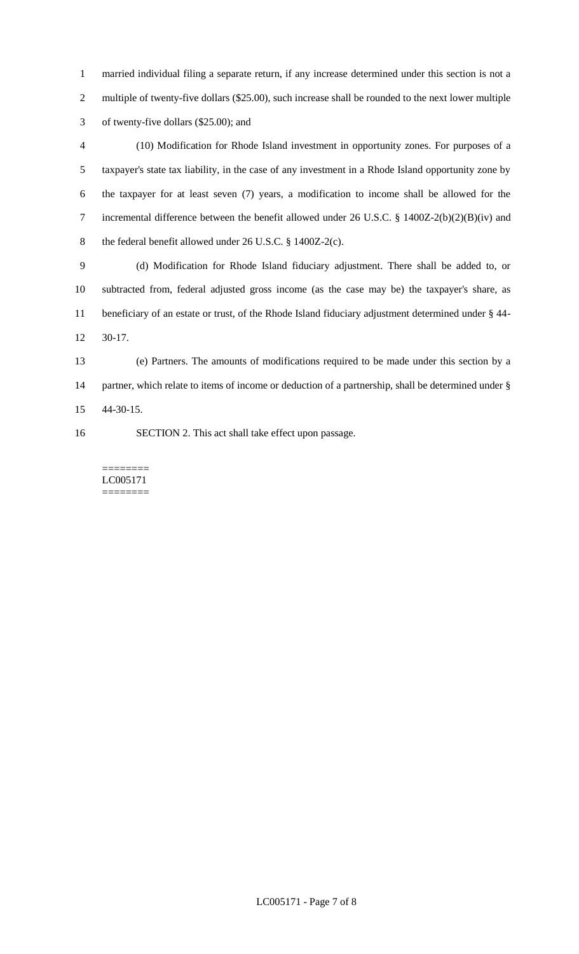married individual filing a separate return, if any increase determined under this section is not a multiple of twenty-five dollars (\$25.00), such increase shall be rounded to the next lower multiple of twenty-five dollars (\$25.00); and

 (10) Modification for Rhode Island investment in opportunity zones. For purposes of a taxpayer's state tax liability, in the case of any investment in a Rhode Island opportunity zone by the taxpayer for at least seven (7) years, a modification to income shall be allowed for the incremental difference between the benefit allowed under 26 U.S.C. § 1400Z-2(b)(2)(B)(iv) and 8 the federal benefit allowed under 26 U.S.C. § 1400Z-2(c).

 (d) Modification for Rhode Island fiduciary adjustment. There shall be added to, or subtracted from, federal adjusted gross income (as the case may be) the taxpayer's share, as beneficiary of an estate or trust, of the Rhode Island fiduciary adjustment determined under § 44- 30-17.

 (e) Partners. The amounts of modifications required to be made under this section by a partner, which relate to items of income or deduction of a partnership, shall be determined under § 44-30-15.

SECTION 2. This act shall take effect upon passage.

======== LC005171 ========